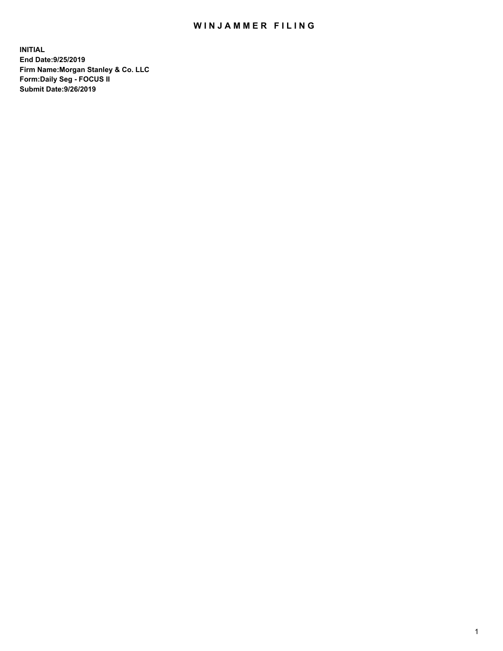## WIN JAMMER FILING

**INITIAL End Date:9/25/2019 Firm Name:Morgan Stanley & Co. LLC Form:Daily Seg - FOCUS II Submit Date:9/26/2019**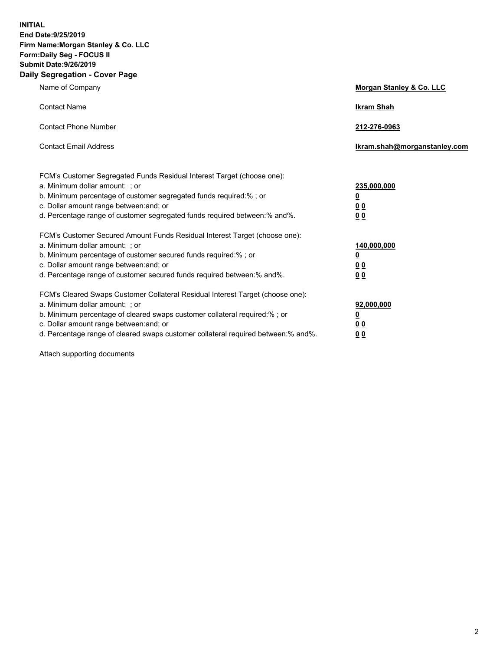**INITIAL End Date:9/25/2019 Firm Name:Morgan Stanley & Co. LLC Form:Daily Seg - FOCUS II Submit Date:9/26/2019 Daily Segregation - Cover Page**

| Name of Company                                                                                                                                                                                                                                                                                                                | Morgan Stanley & Co. LLC                               |
|--------------------------------------------------------------------------------------------------------------------------------------------------------------------------------------------------------------------------------------------------------------------------------------------------------------------------------|--------------------------------------------------------|
| <b>Contact Name</b>                                                                                                                                                                                                                                                                                                            | <b>Ikram Shah</b>                                      |
| <b>Contact Phone Number</b>                                                                                                                                                                                                                                                                                                    | 212-276-0963                                           |
| <b>Contact Email Address</b>                                                                                                                                                                                                                                                                                                   | lkram.shah@morganstanley.com                           |
| FCM's Customer Segregated Funds Residual Interest Target (choose one):<br>a. Minimum dollar amount: ; or<br>b. Minimum percentage of customer segregated funds required:% ; or<br>c. Dollar amount range between: and; or<br>d. Percentage range of customer segregated funds required between:% and%.                         | 235,000,000<br><u>0</u><br><u>0 0</u><br>0 Q           |
| FCM's Customer Secured Amount Funds Residual Interest Target (choose one):<br>a. Minimum dollar amount: ; or<br>b. Minimum percentage of customer secured funds required:%; or<br>c. Dollar amount range between: and; or<br>d. Percentage range of customer secured funds required between:% and%.                            | 140,000,000<br><u>0</u><br><u>00</u><br>0 <sub>0</sub> |
| FCM's Cleared Swaps Customer Collateral Residual Interest Target (choose one):<br>a. Minimum dollar amount: ; or<br>b. Minimum percentage of cleared swaps customer collateral required:% ; or<br>c. Dollar amount range between: and; or<br>d. Percentage range of cleared swaps customer collateral required between:% and%. | 92,000,000<br><u>0</u><br><u>00</u><br>0 <sup>0</sup>  |

Attach supporting documents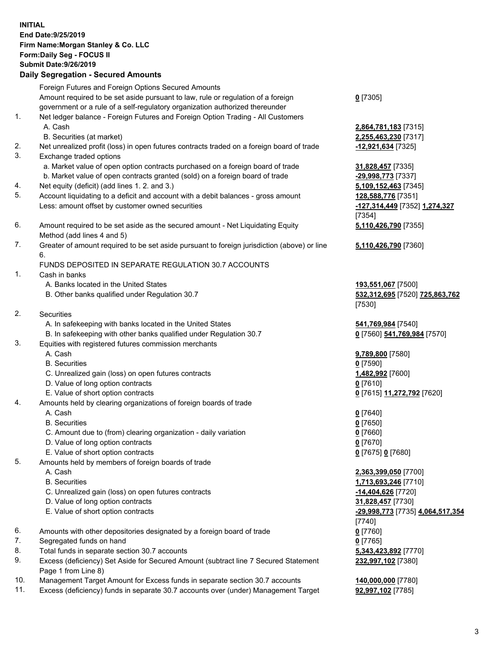## **INITIAL End Date:9/25/2019 Firm Name:Morgan Stanley & Co. LLC Form:Daily Seg - FOCUS II Submit Date:9/26/2019 Daily Segregation - Secured Amounts** Foreign Futures and Foreign Options Secured Amounts Amount required to be set aside pursuant to law, rule or regulation of a foreign government or a rule of a self-regulatory organization authorized thereunder **0** [7305] 1. Net ledger balance - Foreign Futures and Foreign Option Trading - All Customers A. Cash **2,864,781,183** [7315] B. Securities (at market) **2,255,463,230** [7317] 2. Net unrealized profit (loss) in open futures contracts traded on a foreign board of trade **-12,921,634** [7325] 3. Exchange traded options a. Market value of open option contracts purchased on a foreign board of trade **31,828,457** [7335] b. Market value of open contracts granted (sold) on a foreign board of trade **-29,998,773** [7337] 4. Net equity (deficit) (add lines 1. 2. and 3.) **5,109,152,463** [7345] 5. Account liquidating to a deficit and account with a debit balances - gross amount **128,588,776** [7351] Less: amount offset by customer owned securities **-127,314,449** [7352] **1,274,327** 6. Amount required to be set aside as the secured amount - Net Liquidating Equity Method (add lines 4 and 5) 7. Greater of amount required to be set aside pursuant to foreign jurisdiction (above) or line 6. FUNDS DEPOSITED IN SEPARATE REGULATION 30.7 ACCOUNTS 1. Cash in banks A. Banks located in the United States **193,551,067** [7500] B. Other banks qualified under Regulation 30.7 **532,312,695** [7520] **725,863,762** 2. Securities A. In safekeeping with banks located in the United States **541,769,984** [7540] B. In safekeeping with other banks qualified under Regulation 30.7 **0** [7560] **541,769,984** [7570] 3. Equities with registered futures commission merchants A. Cash **9,789,800** [7580] B. Securities **0** [7590] C. Unrealized gain (loss) on open futures contracts **1,482,992** [7600] D. Value of long option contracts **0** [7610] E. Value of short option contracts **0** [7615] **11,272,792** [7620] 4. Amounts held by clearing organizations of foreign boards of trade A. Cash **0** [7640] B. Securities **0** [7650] C. Amount due to (from) clearing organization - daily variation **0** [7660] D. Value of long option contracts **0** [7670] E. Value of short option contracts **0** [7675] **0** [7680] 5. Amounts held by members of foreign boards of trade A. Cash **2,363,399,050** [7700] B. Securities **1,713,693,246** [7710] C. Unrealized gain (loss) on open futures contracts **-14,404,626** [7720] D. Value of long option contracts **31,828,457** [7730] E. Value of short option contracts **-29,998,773** [7735] **4,064,517,354**

6. Amounts with other depositories designated by a foreign board of trade **0** [7760]

- 7. Segregated funds on hand **0** [7765]
- 8. Total funds in separate section 30.7 accounts **5,343,423,892** [7770]

9. Excess (deficiency) Set Aside for Secured Amount (subtract line 7 Secured Statement Page 1 from Line 8)

10. Management Target Amount for Excess funds in separate section 30.7 accounts **140,000,000** [7780]

11. Excess (deficiency) funds in separate 30.7 accounts over (under) Management Target **92,997,102** [7785]

[7354] **5,110,426,790** [7355]

**5,110,426,790** [7360]

[7530]

[7740] **232,997,102** [7380]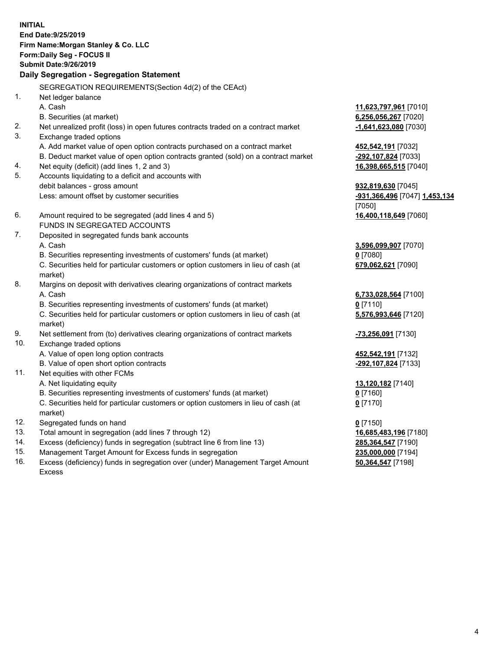**INITIAL End Date:9/25/2019 Firm Name:Morgan Stanley & Co. LLC Form:Daily Seg - FOCUS II Submit Date:9/26/2019 Daily Segregation - Segregation Statement** SEGREGATION REQUIREMENTS(Section 4d(2) of the CEAct) 1. Net ledger balance A. Cash **11,623,797,961** [7010] B. Securities (at market) **6,256,056,267** [7020] 2. Net unrealized profit (loss) in open futures contracts traded on a contract market **-1,641,623,080** [7030] 3. Exchange traded options A. Add market value of open option contracts purchased on a contract market **452,542,191** [7032] B. Deduct market value of open option contracts granted (sold) on a contract market **-292,107,824** [7033] 4. Net equity (deficit) (add lines 1, 2 and 3) **16,398,665,515** [7040] 5. Accounts liquidating to a deficit and accounts with debit balances - gross amount **932,819,630** [7045] Less: amount offset by customer securities **-931,366,496** [7047] **1,453,134** [7050] 6. Amount required to be segregated (add lines 4 and 5) **16,400,118,649** [7060] FUNDS IN SEGREGATED ACCOUNTS 7. Deposited in segregated funds bank accounts A. Cash **3,596,099,907** [7070] B. Securities representing investments of customers' funds (at market) **0** [7080] C. Securities held for particular customers or option customers in lieu of cash (at market) **679,062,621** [7090] 8. Margins on deposit with derivatives clearing organizations of contract markets A. Cash **6,733,028,564** [7100] B. Securities representing investments of customers' funds (at market) **0** [7110] C. Securities held for particular customers or option customers in lieu of cash (at market) **5,576,993,646** [7120] 9. Net settlement from (to) derivatives clearing organizations of contract markets **-73,256,091** [7130] 10. Exchange traded options A. Value of open long option contracts **452,542,191** [7132] B. Value of open short option contracts **-292, and the state of open short option** contracts **-292,107,824** [7133] 11. Net equities with other FCMs A. Net liquidating equity **13,120,182** [7140] B. Securities representing investments of customers' funds (at market) **0** [7160] C. Securities held for particular customers or option customers in lieu of cash (at market) **0** [7170] 12. Segregated funds on hand **0** [7150] 13. Total amount in segregation (add lines 7 through 12) **16,685,483,196** [7180] 14. Excess (deficiency) funds in segregation (subtract line 6 from line 13) **285,364,547** [7190] 15. Management Target Amount for Excess funds in segregation **235,000,000** [7194]

16. Excess (deficiency) funds in segregation over (under) Management Target Amount Excess

**50,364,547** [7198]